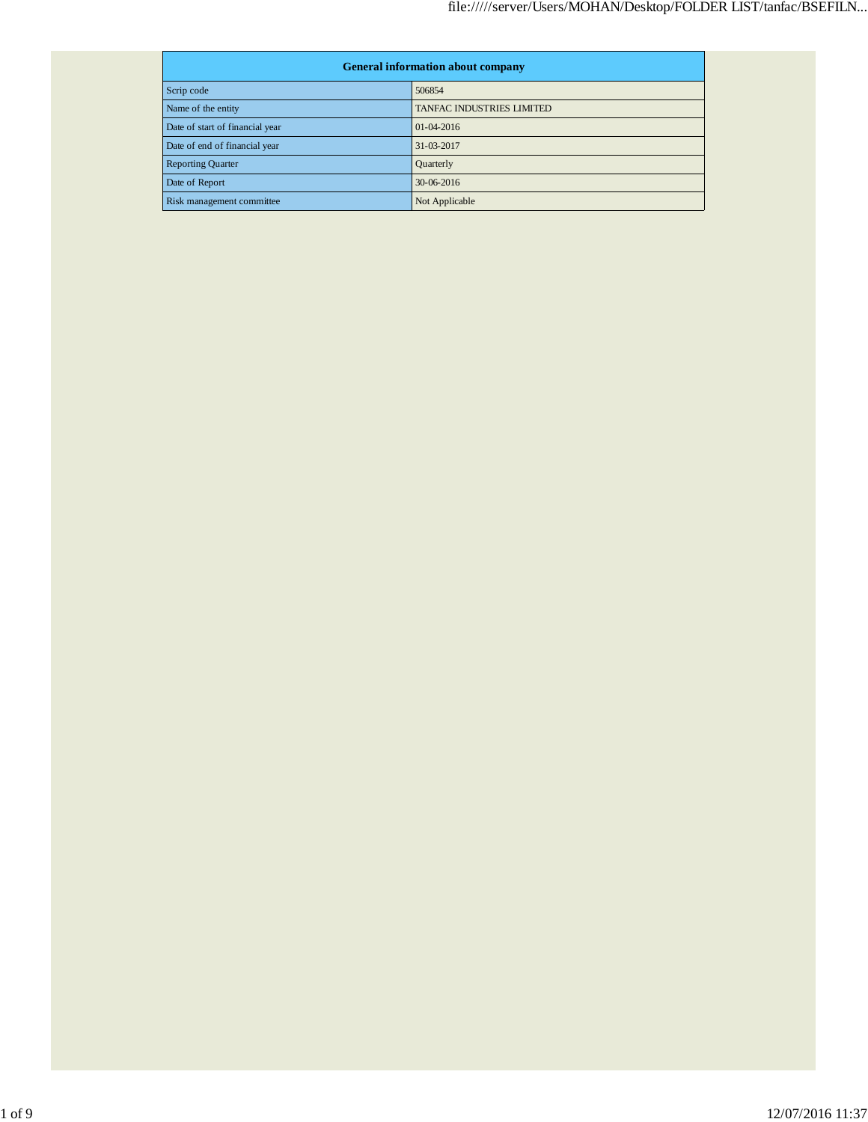| <b>General information about company</b> |                           |  |
|------------------------------------------|---------------------------|--|
| Scrip code                               | 506854                    |  |
| Name of the entity                       | TANFAC INDUSTRIES LIMITED |  |
| Date of start of financial year          | $01-04-2016$              |  |
| Date of end of financial year            | 31-03-2017                |  |
| <b>Reporting Quarter</b>                 | Quarterly                 |  |
| Date of Report                           | 30-06-2016                |  |
| Risk management committee                | Not Applicable            |  |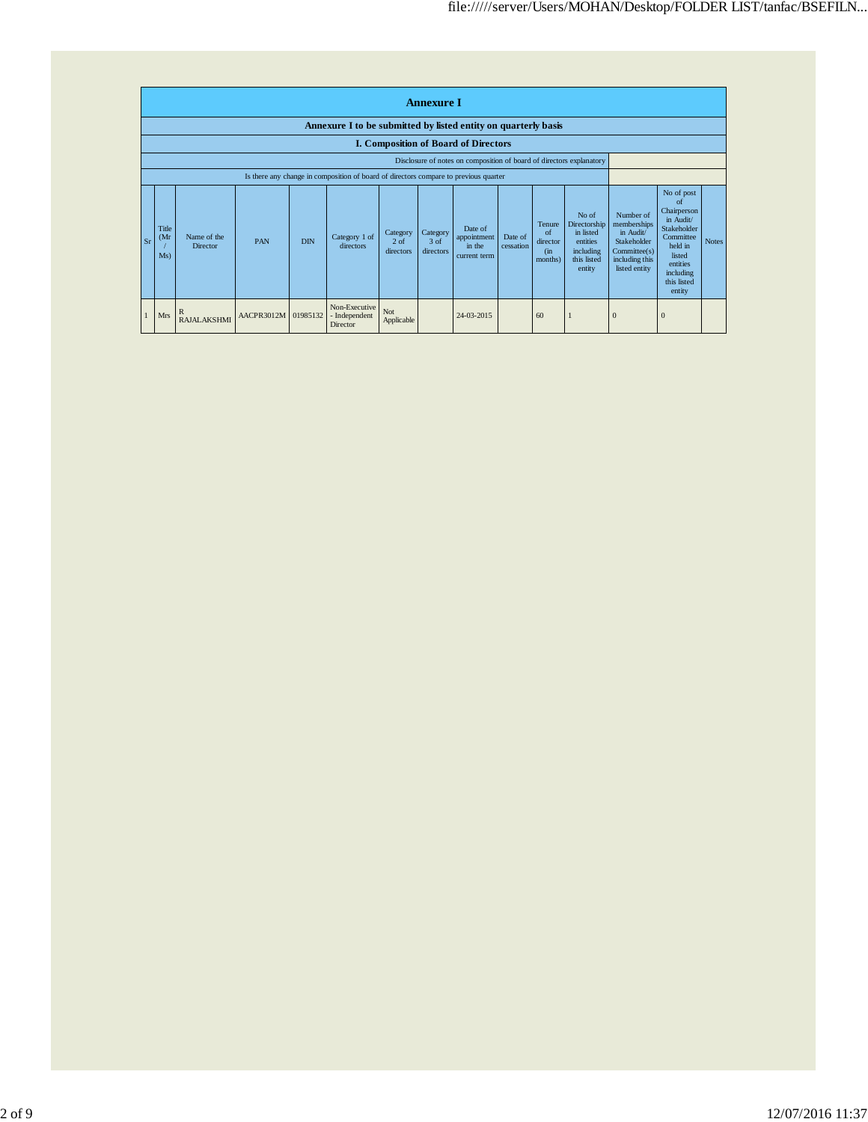|    | <b>Annexure I</b>                                                    |                                |                     |            |                                                                                      |                                           |                                 |                                                  |                      |                                                    |                                                                                             |                                                                                                        |                                                                                                                                                 |              |
|----|----------------------------------------------------------------------|--------------------------------|---------------------|------------|--------------------------------------------------------------------------------------|-------------------------------------------|---------------------------------|--------------------------------------------------|----------------------|----------------------------------------------------|---------------------------------------------------------------------------------------------|--------------------------------------------------------------------------------------------------------|-------------------------------------------------------------------------------------------------------------------------------------------------|--------------|
|    | Annexure I to be submitted by listed entity on quarterly basis       |                                |                     |            |                                                                                      |                                           |                                 |                                                  |                      |                                                    |                                                                                             |                                                                                                        |                                                                                                                                                 |              |
|    |                                                                      |                                |                     |            |                                                                                      |                                           |                                 | <b>I. Composition of Board of Directors</b>      |                      |                                                    |                                                                                             |                                                                                                        |                                                                                                                                                 |              |
|    | Disclosure of notes on composition of board of directors explanatory |                                |                     |            |                                                                                      |                                           |                                 |                                                  |                      |                                                    |                                                                                             |                                                                                                        |                                                                                                                                                 |              |
|    |                                                                      |                                |                     |            | Is there any change in composition of board of directors compare to previous quarter |                                           |                                 |                                                  |                      |                                                    |                                                                                             |                                                                                                        |                                                                                                                                                 |              |
| Sr | Title<br>(Mr)<br>Ms)                                                 | Name of the<br><b>Director</b> | PAN                 | <b>DIN</b> | Category 1 of<br>directors                                                           | Category<br>2 <sub>o</sub> f<br>directors | Category<br>$3$ of<br>directors | Date of<br>appointment<br>in the<br>current term | Date of<br>cessation | Tenure<br>$\alpha$ f<br>director<br>(in<br>months) | No of<br>Directorship<br>in listed<br><i>entities</i><br>including<br>this listed<br>entity | Number of<br>memberships<br>in Audit/<br>Stakeholder<br>Commitee(s)<br>including this<br>listed entity | No of post<br>of<br>Chairperson<br>in Audit/<br>Stakeholder<br>Committee<br>held in<br>listed<br>entities<br>including<br>this listed<br>entity | <b>Notes</b> |
|    | <b>Mrs</b>                                                           | R<br><b>RAJALAKSHMI</b>        | AACPR3012M 01985132 |            | Non-Executive<br>- Independent<br>Director                                           | Not<br>Applicable                         |                                 | 24-03-2015                                       |                      | 60                                                 |                                                                                             |                                                                                                        | $\bf{0}$                                                                                                                                        |              |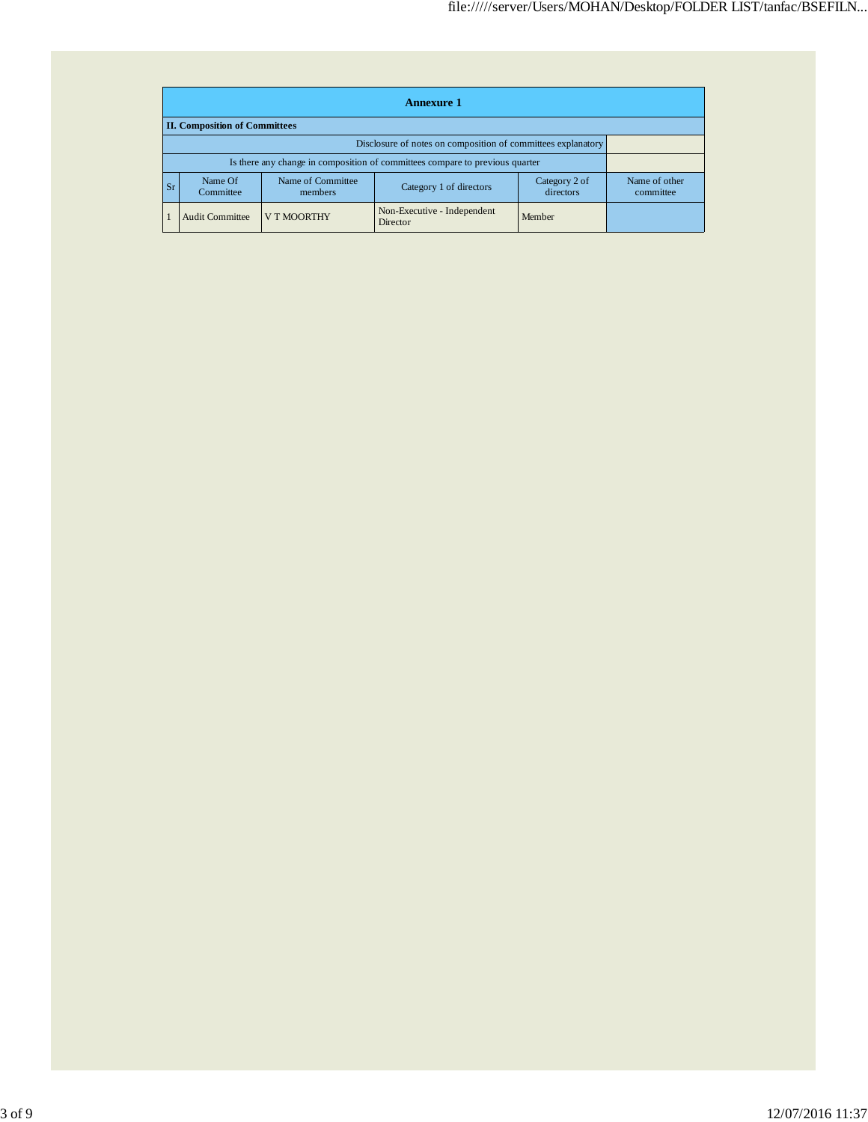|    | <b>Annexure 1</b>                                                                                             |                    |                                         |        |  |  |  |  |
|----|---------------------------------------------------------------------------------------------------------------|--------------------|-----------------------------------------|--------|--|--|--|--|
|    | <b>II. Composition of Committees</b>                                                                          |                    |                                         |        |  |  |  |  |
|    | Disclosure of notes on composition of committees explanatory                                                  |                    |                                         |        |  |  |  |  |
|    | Is there any change in composition of committees compare to previous quarter                                  |                    |                                         |        |  |  |  |  |
| Sr | Name of Committee<br>Category 2 of<br>Name Of<br>Category 1 of directors<br>directors<br>Committee<br>members |                    | Name of other<br>committee              |        |  |  |  |  |
|    | <b>Audit Committee</b>                                                                                        | <b>V T MOORTHY</b> | Non-Executive - Independent<br>Director | Member |  |  |  |  |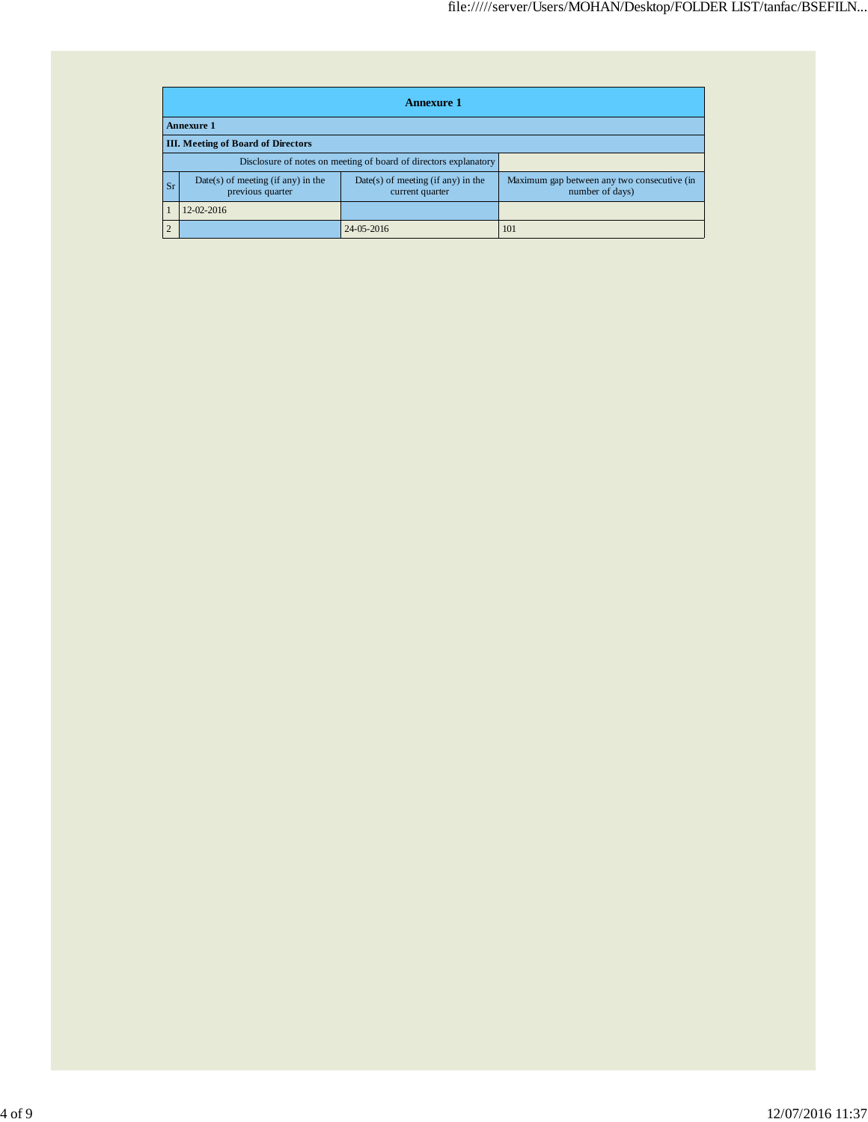|           | <b>Annexure 1</b>                                                                                                   |            |                                                                |  |  |  |
|-----------|---------------------------------------------------------------------------------------------------------------------|------------|----------------------------------------------------------------|--|--|--|
|           | <b>Annexure 1</b>                                                                                                   |            |                                                                |  |  |  |
|           | <b>III.</b> Meeting of Board of Directors                                                                           |            |                                                                |  |  |  |
|           | Disclosure of notes on meeting of board of directors explanatory                                                    |            |                                                                |  |  |  |
| <b>Sr</b> | $Date(s)$ of meeting (if any) in the<br>$Date(s)$ of meeting (if any) in the<br>previous quarter<br>current quarter |            | Maximum gap between any two consecutive (in<br>number of days) |  |  |  |
|           | 12-02-2016                                                                                                          |            |                                                                |  |  |  |
| 2         |                                                                                                                     | 24-05-2016 | 101                                                            |  |  |  |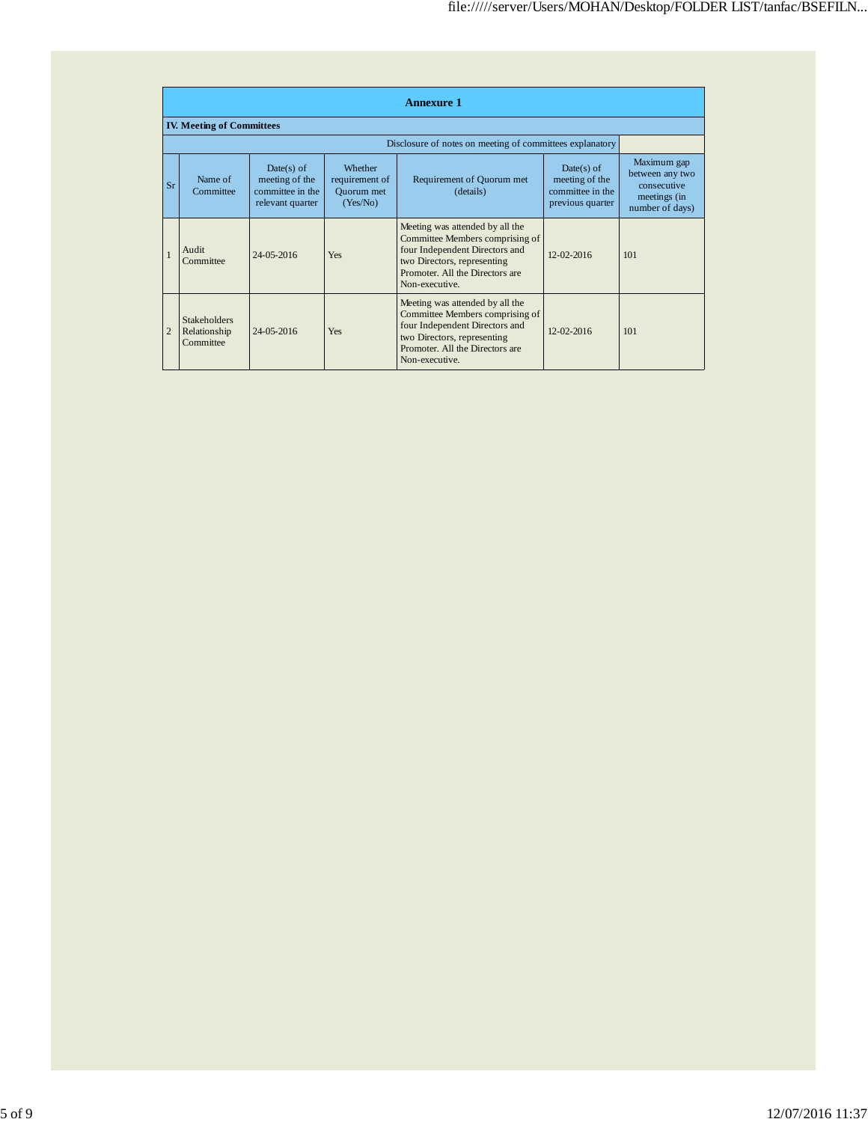|                | <b>Annexure 1</b>                                |                                                                      |                                                            |                                                                                                                                                                                          |                                                                        |                                                                                  |  |
|----------------|--------------------------------------------------|----------------------------------------------------------------------|------------------------------------------------------------|------------------------------------------------------------------------------------------------------------------------------------------------------------------------------------------|------------------------------------------------------------------------|----------------------------------------------------------------------------------|--|
|                | <b>IV. Meeting of Committees</b>                 |                                                                      |                                                            |                                                                                                                                                                                          |                                                                        |                                                                                  |  |
|                |                                                  |                                                                      |                                                            | Disclosure of notes on meeting of committees explanatory                                                                                                                                 |                                                                        |                                                                                  |  |
| Sr             | Name of<br>Committee                             | Date(s) of<br>meeting of the<br>committee in the<br>relevant quarter | Whether<br>requirement of<br><b>Ouorum</b> met<br>(Yes/No) | Requirement of Quorum met<br>(details)                                                                                                                                                   | $Date(s)$ of<br>meeting of the<br>committee in the<br>previous quarter | Maximum gap<br>between any two<br>consecutive<br>meetings (in<br>number of days) |  |
|                | Audit<br>Committee                               | $24 - 05 - 2016$                                                     | <b>Yes</b>                                                 | Meeting was attended by all the<br>Committee Members comprising of<br>four Independent Directors and<br>two Directors, representing<br>Promoter. All the Directors are<br>Non-executive. | $12 - 02 - 2016$                                                       | 101                                                                              |  |
| $\overline{2}$ | <b>Stakeholders</b><br>Relationship<br>Committee | $24 - 05 - 2016$                                                     | Yes                                                        | Meeting was attended by all the<br>Committee Members comprising of<br>four Independent Directors and<br>two Directors, representing<br>Promoter. All the Directors are<br>Non-executive. | $12 - 02 - 2016$                                                       | 101                                                                              |  |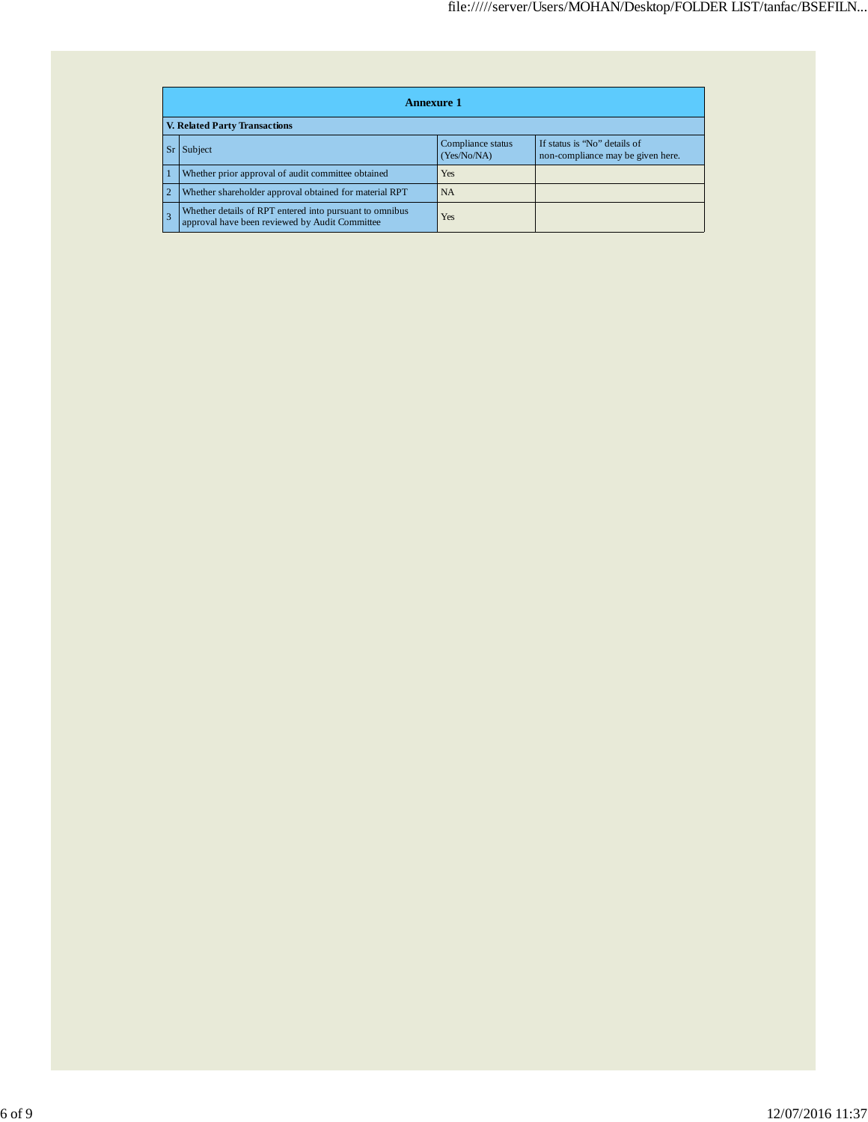|                | <b>Annexure 1</b>                                                                                                |     |  |  |  |  |
|----------------|------------------------------------------------------------------------------------------------------------------|-----|--|--|--|--|
|                | <b>V. Related Party Transactions</b>                                                                             |     |  |  |  |  |
|                | If status is "No" details of<br>Compliance status<br>Subject<br>(Yes/No/NA)<br>non-compliance may be given here. |     |  |  |  |  |
|                | Whether prior approval of audit committee obtained                                                               | Yes |  |  |  |  |
| $\overline{2}$ | Whether shareholder approval obtained for material RPT                                                           | NA  |  |  |  |  |
|                | Whether details of RPT entered into pursuant to omnibus<br>approval have been reviewed by Audit Committee        | Yes |  |  |  |  |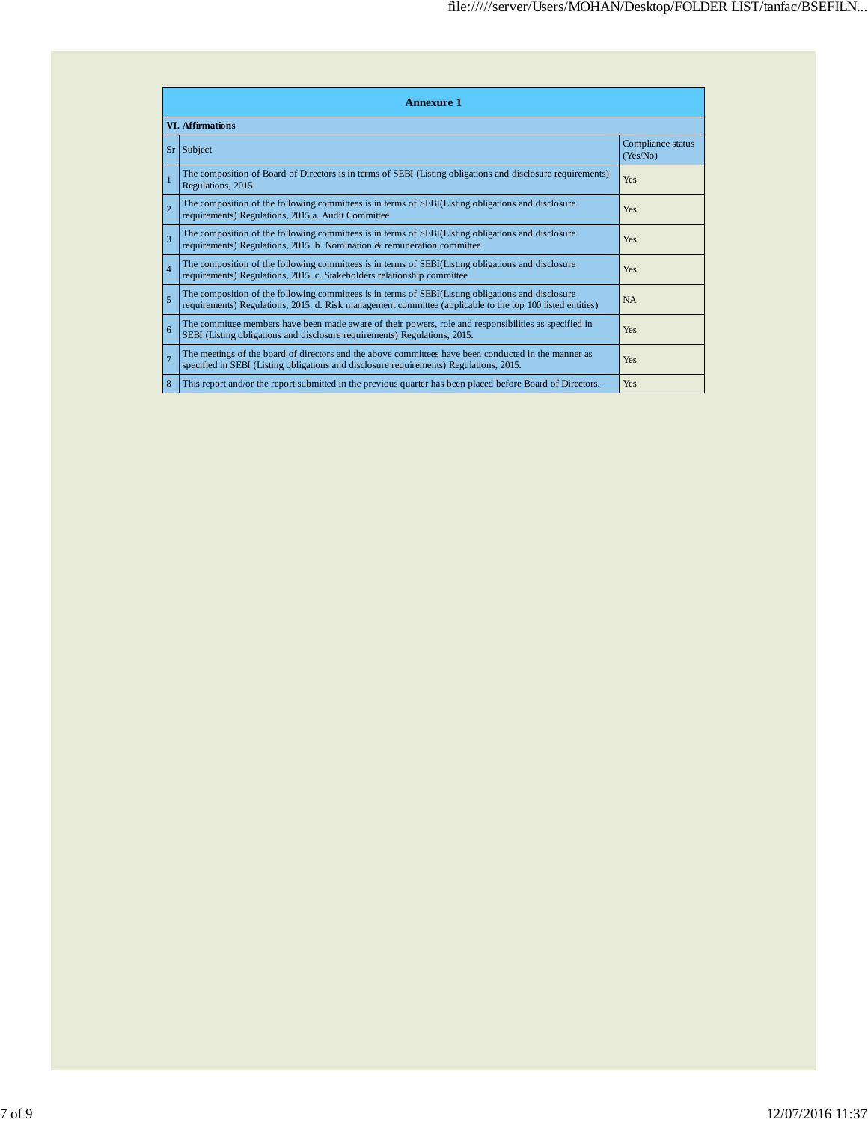|                | <b>Annexure 1</b>                                                                                                                                                                                               |                               |  |  |  |  |
|----------------|-----------------------------------------------------------------------------------------------------------------------------------------------------------------------------------------------------------------|-------------------------------|--|--|--|--|
|                | <b>VI. Affirmations</b>                                                                                                                                                                                         |                               |  |  |  |  |
| Sr             | Subject                                                                                                                                                                                                         | Compliance status<br>(Yes/No) |  |  |  |  |
|                | The composition of Board of Directors is in terms of SEBI (Listing obligations and disclosure requirements)<br>Regulations, 2015                                                                                | Yes                           |  |  |  |  |
| $\overline{2}$ | The composition of the following committees is in terms of SEBI(Listing obligations and disclosure<br>requirements) Regulations, 2015 a. Audit Committee                                                        | Yes                           |  |  |  |  |
| 3              | The composition of the following committees is in terms of SEBI(Listing obligations and disclosure<br>requirements) Regulations, 2015. b. Nomination & remuneration committee                                   | Yes                           |  |  |  |  |
| $\overline{4}$ | The composition of the following committees is in terms of SEBI(Listing obligations and disclosure<br>requirements) Regulations, 2015. c. Stakeholders relationship committee                                   | Yes                           |  |  |  |  |
| 5              | The composition of the following committees is in terms of SEBI(Listing obligations and disclosure<br>requirements) Regulations, 2015. d. Risk management committee (applicable to the top 100 listed entities) | <b>NA</b>                     |  |  |  |  |
| 6              | The committee members have been made aware of their powers, role and responsibilities as specified in<br>SEBI (Listing obligations and disclosure requirements) Regulations, 2015.                              | Yes                           |  |  |  |  |
| $\overline{7}$ | The meetings of the board of directors and the above committees have been conducted in the manner as<br>specified in SEBI (Listing obligations and disclosure requirements) Regulations, 2015.                  | Yes                           |  |  |  |  |
| 8              | This report and/or the report submitted in the previous quarter has been placed before Board of Directors.                                                                                                      | Yes                           |  |  |  |  |